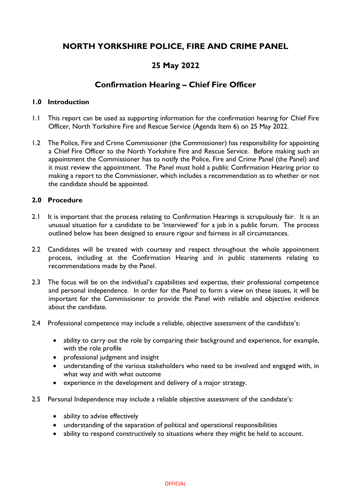# **NORTH YORKSHIRE POLICE, FIRE AND CRIME PANEL**

## **25 May 2022**

## **Confirmation Hearing – Chief Fire Officer**

## **1.0 Introduction**

- 1.1 This report can be used as supporting information for the confirmation hearing for Chief Fire Officer, North Yorkshire Fire and Rescue Service (Agenda Item 6) on 25 May 2022.
- 1.2 The Police, Fire and Crime Commissioner (the Commissioner) has responsibility for appointing a Chief Fire Officer to the North Yorkshire Fire and Rescue Service. Before making such an appointment the Commissioner has to notify the Police, Fire and Crime Panel (the Panel) and it must review the appointment. The Panel must hold a public Confirmation Hearing prior to making a report to the Commissioner, which includes a recommendation as to whether or not the candidate should be appointed.

## **2.0 Procedure**

- 2.1 It is important that the process relating to Confirmation Hearings is scrupulously fair. It is an unusual situation for a candidate to be 'interviewed' for a job in a public forum. The process outlined below has been designed to ensure rigour and fairness in all circumstances.
- 2.2 Candidates will be treated with courtesy and respect throughout the whole appointment process, including at the Confirmation Hearing and in public statements relating to recommendations made by the Panel.
- 2.3 The focus will be on the individual's capabilities and expertise, their professional competence and personal independence. In order for the Panel to form a view on these issues, it will be important for the Commissioner to provide the Panel with reliable and objective evidence about the candidate.
- 2.4 Professional competence may include a reliable, objective assessment of the candidate's:
	- ability to carry out the role by comparing their background and experience, for example, with the role profile
	- professional judgment and insight
	- understanding of the various stakeholders who need to be involved and engaged with, in what way and with what outcome
	- experience in the development and delivery of a major strategy.
- 2.5 Personal Independence may include a reliable objective assessment of the candidate's:
	- ability to advise effectively
	- understanding of the separation of political and operational responsibilities
	- ability to respond constructively to situations where they might be held to account.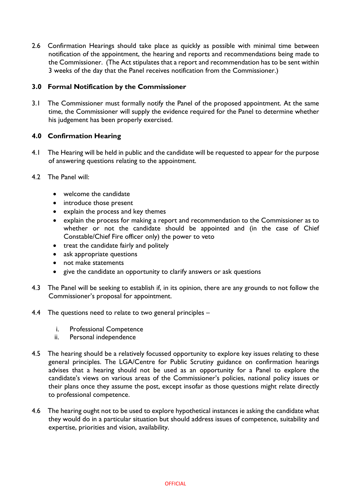2.6 Confirmation Hearings should take place as quickly as possible with minimal time between notification of the appointment, the hearing and reports and recommendations being made to the Commissioner. (The Act stipulates that a report and recommendation has to be sent within 3 weeks of the day that the Panel receives notification from the Commissioner.)

## **3.0 Formal Notification by the Commissioner**

3.1 The Commissioner must formally notify the Panel of the proposed appointment. At the same time, the Commissioner will supply the evidence required for the Panel to determine whether his judgement has been properly exercised.

## **4.0 Confirmation Hearing**

- 4.1 The Hearing will be held in public and the candidate will be requested to appear for the purpose of answering questions relating to the appointment.
- 4.2 The Panel will:
	- welcome the candidate
	- introduce those present
	- explain the process and key themes
	- explain the process for making a report and recommendation to the Commissioner as to whether or not the candidate should be appointed and (in the case of Chief Constable/Chief Fire officer only) the power to veto
	- treat the candidate fairly and politely
	- ask appropriate questions
	- not make statements
	- give the candidate an opportunity to clarify answers or ask questions
- 4.3 The Panel will be seeking to establish if, in its opinion, there are any grounds to not follow the Commissioner's proposal for appointment.
- 4.4 The questions need to relate to two general principles
	- i. Professional Competence
	- ii. Personal independence
- 4.5 The hearing should be a relatively focussed opportunity to explore key issues relating to these general principles. The LGA/Centre for Public Scrutiny guidance on confirmation hearings advises that a hearing should not be used as an opportunity for a Panel to explore the candidate's views on various areas of the Commissioner's policies, national policy issues or their plans once they assume the post, except insofar as those questions might relate directly to professional competence.
- 4.6 The hearing ought not to be used to explore hypothetical instances ie asking the candidate what they would do in a particular situation but should address issues of competence, suitability and expertise, priorities and vision, availability.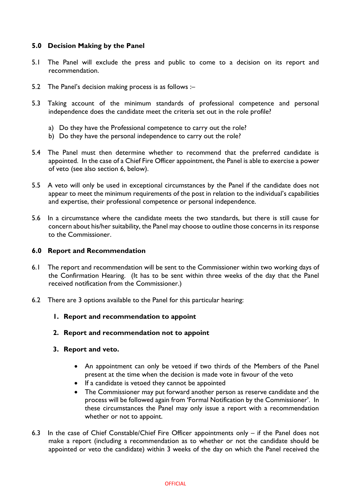## **5.0 Decision Making by the Panel**

- 5.1 The Panel will exclude the press and public to come to a decision on its report and recommendation.
- 5.2 The Panel's decision making process is as follows :–
- 5.3 Taking account of the minimum standards of professional competence and personal independence does the candidate meet the criteria set out in the role profile?
	- a) Do they have the Professional competence to carry out the role?
	- b) Do they have the personal independence to carry out the role?
- 5.4 The Panel must then determine whether to recommend that the preferred candidate is appointed. In the case of a Chief Fire Officer appointment, the Panel is able to exercise a power of veto (see also section 6, below).
- 5.5 A veto will only be used in exceptional circumstances by the Panel if the candidate does not appear to meet the minimum requirements of the post in relation to the individual's capabilities and expertise, their professional competence or personal independence.
- 5.6 In a circumstance where the candidate meets the two standards, but there is still cause for concern about his/her suitability, the Panel may choose to outline those concerns in its response to the Commissioner.

#### **6.0 Report and Recommendation**

- 6.1 The report and recommendation will be sent to the Commissioner within two working days of the Confirmation Hearing. (It has to be sent within three weeks of the day that the Panel received notification from the Commissioner.)
- 6.2 There are 3 options available to the Panel for this particular hearing:
	- **1. Report and recommendation to appoint**
	- **2. Report and recommendation not to appoint**
	- **3. Report and veto.**
		- An appointment can only be vetoed if two thirds of the Members of the Panel present at the time when the decision is made vote in favour of the veto
		- If a candidate is vetoed they cannot be appointed
		- The Commissioner may put forward another person as reserve candidate and the process will be followed again from 'Formal Notification by the Commissioner'. In these circumstances the Panel may only issue a report with a recommendation whether or not to appoint.
- 6.3 In the case of Chief Constable/Chief Fire Officer appointments only if the Panel does not make a report (including a recommendation as to whether or not the candidate should be appointed or veto the candidate) within 3 weeks of the day on which the Panel received the